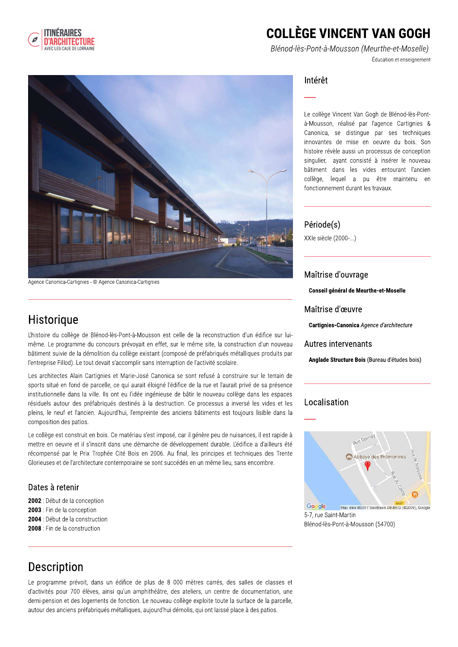

## **COLLÈGE VINCENT VAN GOGH**

Blénod-lès-Pont-à-Mousson (Meurthe-et-Moselle) Éducation et enseignement



Agence Canonica-Cartignies - © Agence Canonica-Cartignies

### Historique

L'histoire du collège de Blénod-lès-Pont-à-Mousson est celle de la reconstruction d'un édifice sur luimême. Le programme du concours prévoyait en effet, sur le même site, la construction d'un nouveau bâtiment suivie de la démolition du collège existant (composé de préfabriqués métalliques produits par l'entreprise Fillod). Le tout devait s'accomplir sans interruption de l'activité scolaire.

Les architectes Alain Cartignies et Marie-José Canonica se sont refusé à construire sur le terrain de sports situé en fond de parcelle, ce qui aurait éloigné l'édifice de la rue et l'aurait privé de sa présence institutionnelle dans la ville. Ils ont eu l'idée ingénieuse de bâtir le nouveau collège dans les espaces résiduels autour des préfabriqués destinés à la destruction. Ce processus a inversé les vides et les pleins, le neuf et l'ancien. Aujourd'hui, l'empreinte des anciens bâtiments est toujours lisible dans la composition des patios.

Le collège est construit en bois. Ce matériau s'est imposé, car il génère peu de nuisances, il est rapide à mettre en oeuvre et il s'inscrit dans une démarche de développement durable. L'édifice a d'ailleurs été récompensé par le Prix Trophée Cité Bois en 2006. Au final, les principes et techniques des Trente Glorieuses et de l'architecture contemporaine se sont succédés en un même lieu, sans encombre.

#### Dates à retenir

- 2002 : Début de la conception
- 2003 : Fin de la conception
- 2004 : Début de la construction
- 2008 : Fin de la construction

### Intérêt

Le collège Vincent Van Gogh de Blénod-lès-Pontà-Mousson, réalisé par l'agence Cartignies & Canonica, se distingue par ses techniques innovantes de mise en oeuvre du bois. Son histoire révèle aussi un processus de conception singulier, ayant consisté à insérer le nouveau bâtiment dans les vides entourant l'ancien collège, lequel a pu être maintenu en fonctionnement durant les travaux.

#### Période(s)

XXIe siècle (2000-...)

#### Maîtrise d'ouvrage

**Conseil général de Meurthe-et-Moselle** 

#### Maîtrise d'œuvre

Cartignies-Canonica Agence d'architecture

#### Autres intervenants

Anglade Structure Bois (Bureau d'études bois)

### Localisation



5-7, rue Saint-Martin Blénod-lès-Pont-à-Mousson (54700)

## **Description**

Le programme prévoit, dans un édifice de plus de 8 000 mètres carrés, des salles de classes et d'activités pour 700 élèves, ainsi qu'un amphithéâtre, des ateliers, un centre de documentation, une demi-pension et des logements de fonction. Le nouveau collège exploite toute la surface de la parcelle, autour des anciens préfabriqués métalliques, aujourd'hui démolis, qui ont laissé place à des patios.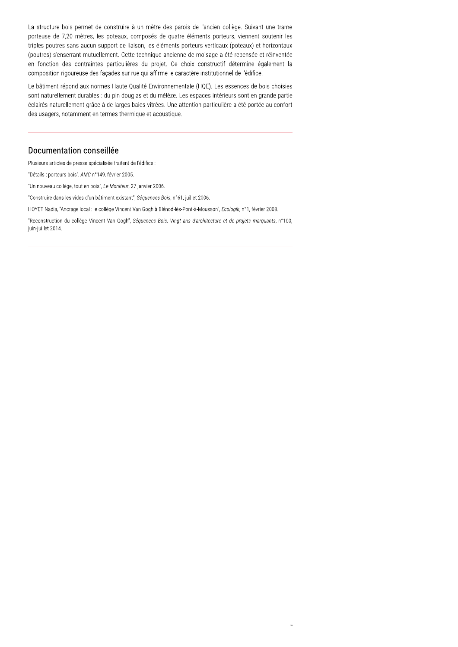La structure bois permet de construire à un mètre des parois de l'ancien collège. Suivant une trame porteuse de 7,20 mètres, les poteaux, composés de quatre éléments porteurs, viennent soutenir les triples poutres sans aucun support de liaison, les éléments porteurs verticaux (poteaux) et horizontaux (poutres) s'enserrant mutuellement. Cette technique ancienne de moisage a été repensée et réinventée en fonction des contraintes particulières du projet. Ce choix constructif détermine également la composition rigoureuse des façades sur rue qui affirme le caractère institutionnel de l'édifice.

Le bâtiment répond aux normes Haute Qualité Environnementale (HQE). Les essences de bois choisies sont naturellement durables : du pin douglas et du mélèze. Les espaces intérieurs sont en grande partie éclairés naturellement grâce à de larges baies vitrées. Une attention particulière a été portée au confort des usagers, notamment en termes thermique et acoustique.

#### Documentation conseillée

Plusieurs articles de presse spécialisée traitent de l'édifice :

"Détails : porteurs bois", AMC n°149, février 2005.

"Un nouveau collège, tout en bois", Le Moniteur, 27 janvier 2006.

"Construire dans les vides d'un bâtiment existant", Séquences Bois, n°61, juillet 2006.

HOYET Nadia, "Ancrage local : le collège Vincent Van Gogh à Blénod-lès-Pont-à-Mousson", Ecologik, n°1, février 2008.

"Reconstruction du collège Vincent Van Gogh", Séquences Bois, Vingt ans d'architecture et de projets marquants, n°100, juin-juillet 2014.

 $\overline{a}$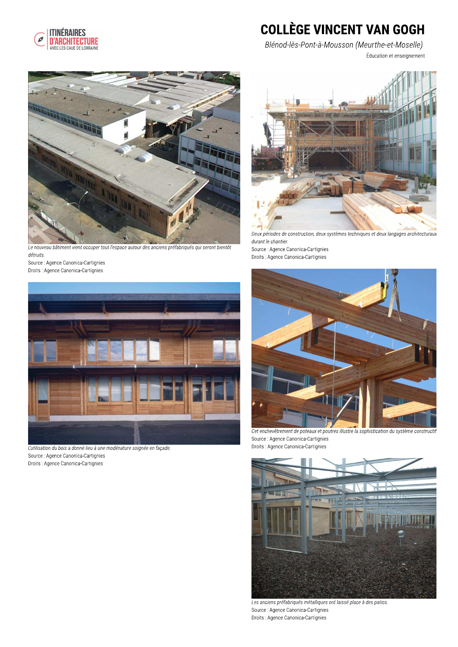

# **COLLÈGE VINCENT VAN GOGH**

Blénod-lès-Pont-à-Mousson (Meurthe-et-Moselle) Éducation et enseignement



Le nouveau bâtiment vient occuper tout l'espace autour des anciens préfabriqués qui seront bientôt détruits.

Source : Agence Canonica-Cartignies Droits : Agence Canonica-Cartignies



L'utilisation du bois a donné lieu à une modénature soignée en façade. Source : Agence Canonica-Cartignies Droits : Agence Canonica-Cartignies



Deux périodes de construction, deux systèmes techniques et deux langages architecturaux durant le chantier.

Source : Agence Canonica-Cartignies Droits : Agence Canonica-Cartignies



Cet enchevêtrement de poteaux et poutres illustre la sophistication du système constructif Source : Agence Canonica-Cartignies Droits : Agence Canonica-Cartignies



Les anciens préfabriqués métalliques ont laissé place à des patios. Source: Agence Canonica-Cartignies Droits : Agence Canonica-Cartignies